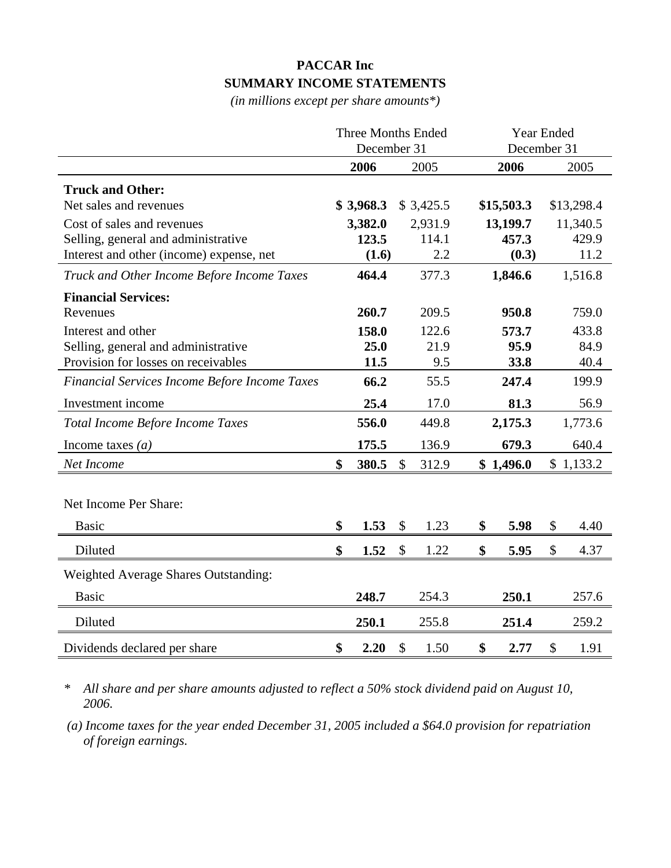## **PACCAR Inc SUMMARY INCOME STATEMENTS**

*(in millions except per share amounts\*)*

|                                               | <b>Three Months Ended</b><br>December 31 |                           |           | Year Ended<br>December 31 |    |            |
|-----------------------------------------------|------------------------------------------|---------------------------|-----------|---------------------------|----|------------|
|                                               | 2006                                     |                           | 2005      | 2006                      |    | 2005       |
| <b>Truck and Other:</b>                       |                                          |                           |           |                           |    |            |
| Net sales and revenues                        | \$3,968.3                                |                           | \$3,425.5 | \$15,503.3                |    | \$13,298.4 |
| Cost of sales and revenues                    | 3,382.0                                  |                           | 2,931.9   | 13,199.7                  |    | 11,340.5   |
| Selling, general and administrative           | 123.5                                    |                           | 114.1     | 457.3                     |    | 429.9      |
| Interest and other (income) expense, net      | (1.6)                                    |                           | 2.2       | (0.3)                     |    | 11.2       |
| Truck and Other Income Before Income Taxes    | 464.4                                    |                           | 377.3     | 1,846.6                   |    | 1,516.8    |
| <b>Financial Services:</b>                    |                                          |                           |           |                           |    |            |
| Revenues                                      | 260.7                                    |                           | 209.5     | 950.8                     |    | 759.0      |
| Interest and other                            | 158.0                                    |                           | 122.6     | 573.7                     |    | 433.8      |
| Selling, general and administrative           | 25.0                                     |                           | 21.9      | 95.9                      |    | 84.9       |
| Provision for losses on receivables           | 11.5                                     |                           | 9.5       | 33.8                      |    | 40.4       |
| Financial Services Income Before Income Taxes | 66.2                                     |                           | 55.5      | 247.4                     |    | 199.9      |
| Investment income                             | 25.4                                     |                           | 17.0      | 81.3                      |    | 56.9       |
| Total Income Before Income Taxes              | 556.0                                    |                           | 449.8     | 2,175.3                   |    | 1,773.6    |
| Income taxes $(a)$                            | 175.5                                    |                           | 136.9     | 679.3                     |    | 640.4      |
| Net Income                                    | \$<br>380.5                              | $\mathcal{S}$             | 312.9     | \$1,496.0                 |    | \$1,133.2  |
|                                               |                                          |                           |           |                           |    |            |
| Net Income Per Share:                         |                                          |                           |           |                           |    |            |
| <b>Basic</b>                                  | \$<br>1.53                               | $\boldsymbol{\mathsf{S}}$ | 1.23      | \$<br>5.98                | \$ | 4.40       |
| Diluted                                       | \$<br>1.52                               | \$                        | 1.22      | \$<br>5.95                | \$ | 4.37       |
| <b>Weighted Average Shares Outstanding:</b>   |                                          |                           |           |                           |    |            |
| <b>Basic</b>                                  | 248.7                                    |                           | 254.3     | 250.1                     |    | 257.6      |
| Diluted                                       | 250.1                                    |                           | 255.8     | 251.4                     |    | 259.2      |
| Dividends declared per share                  | \$<br>2.20                               | $\mathcal{S}$             | 1.50      | \$<br>2.77                | \$ | 1.91       |

*\* All share and per share amounts adjusted to reflect a 50% stock dividend paid on August 10, 2006.* 

 *(a) Income taxes for the year ended December 31, 2005 included a \$64.0 provision for repatriation of foreign earnings.*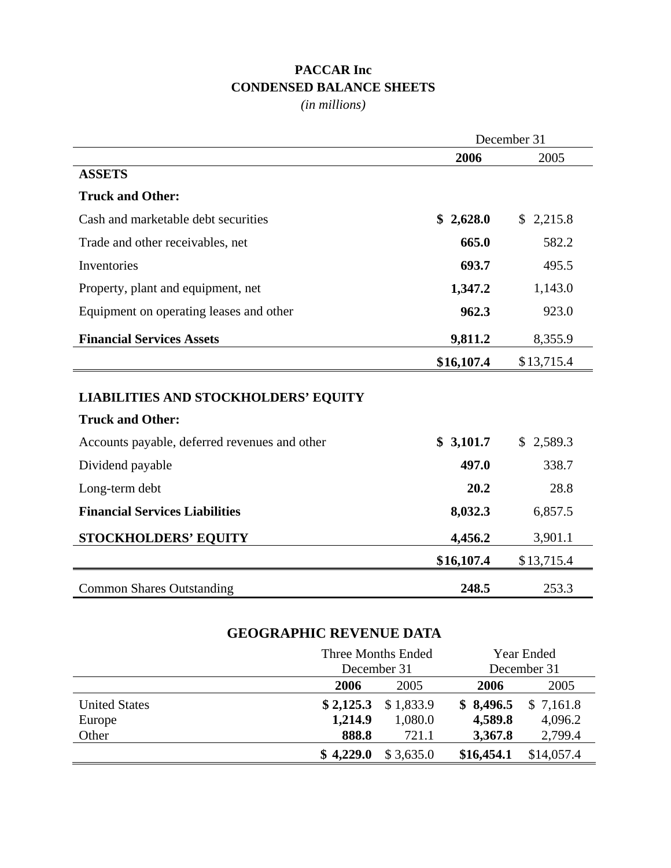## **PACCAR Inc CONDENSED BALANCE SHEETS**

*(in millions)*

|                                               | December 31 |            |  |
|-----------------------------------------------|-------------|------------|--|
|                                               | 2006        | 2005       |  |
| <b>ASSETS</b>                                 |             |            |  |
| <b>Truck and Other:</b>                       |             |            |  |
| Cash and marketable debt securities           | \$2,628.0   | \$2,215.8  |  |
| Trade and other receivables, net              | 665.0       | 582.2      |  |
| Inventories                                   | 693.7       | 495.5      |  |
| Property, plant and equipment, net            | 1,347.2     | 1,143.0    |  |
| Equipment on operating leases and other       | 962.3       | 923.0      |  |
| <b>Financial Services Assets</b>              | 9,811.2     | 8,355.9    |  |
|                                               | \$16,107.4  | \$13,715.4 |  |
| <b>LIABILITIES AND STOCKHOLDERS' EQUITY</b>   |             |            |  |
| <b>Truck and Other:</b>                       |             |            |  |
| Accounts payable, deferred revenues and other | \$3,101.7   | \$2,589.3  |  |
| Dividend payable                              | 497.0       | 338.7      |  |
| Long-term debt                                | 20.2        | 28.8       |  |
| <b>Financial Services Liabilities</b>         | 8,032.3     | 6,857.5    |  |
| <b>STOCKHOLDERS' EQUITY</b>                   | 4,456.2     | 3,901.1    |  |
|                                               | \$16,107.4  | \$13,715.4 |  |
| <b>Common Shares Outstanding</b>              | 248.5       | 253.3      |  |

## **GEOGRAPHIC REVENUE DATA**

|                      | December 31 | Three Months Ended | Year Ended<br>December 31 |            |  |
|----------------------|-------------|--------------------|---------------------------|------------|--|
|                      | 2006        | 2005               | 2006                      | 2005       |  |
| <b>United States</b> | \$2,125.3   | \$1,833.9          | \$8,496.5                 | \$7,161.8  |  |
| Europe               | 1,214.9     | 1,080.0            | 4,589.8                   | 4,096.2    |  |
| Other                | 888.8       | 721.1              | 3,367.8                   | 2,799.4    |  |
|                      | \$4,229.0   | \$3,635.0          | \$16,454.1                | \$14,057.4 |  |